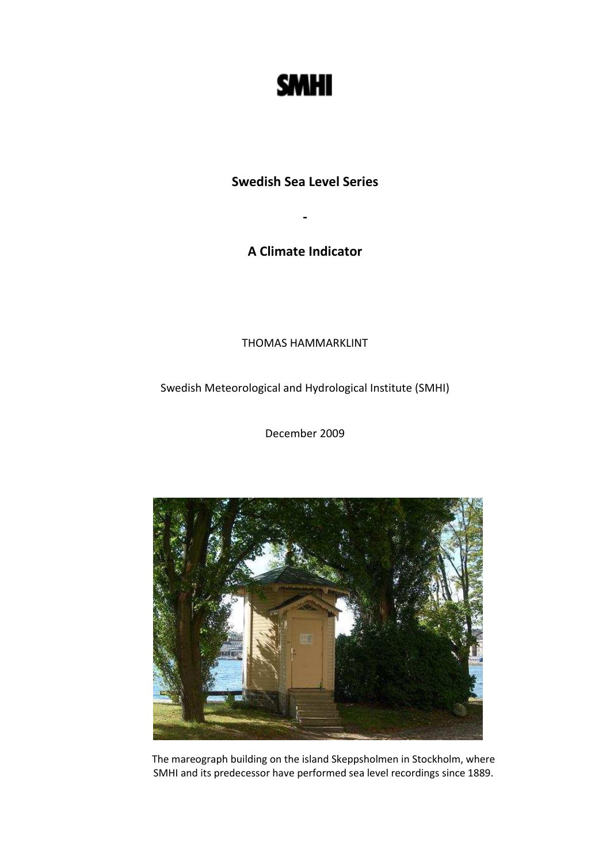

# Swedish Sea Level Series

-

A Climate Indicator

THOMAS HAMMARKLINT

Swedish Meteorological and Hydrological Institute (SMHI)

December 2009



The mareograph building on the island Skeppsholmen in Stockholm, where SMHI and its predecessor have performed sea level recordings since 1889.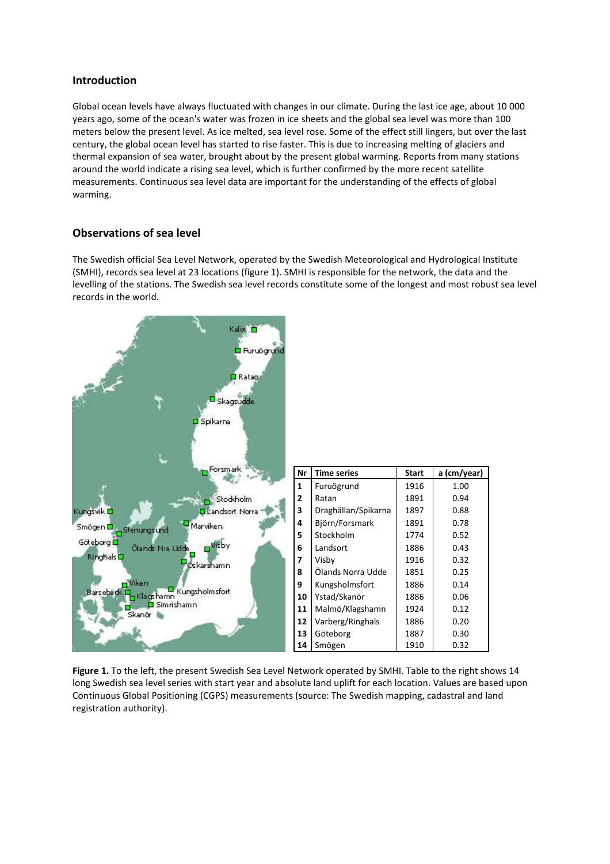### Introduction

Global ocean levels have always fluctuated with changes in our climate. During the last ice age, about 10 000 years ago, some of the ocean's water was frozen in ice sheets and the global sea level was more than 100 meters below the present level. As ice melted, sea level rose. Some of the effect still lingers, but over the last century, the global ocean level has started to rise faster. This is due to increasing melting of glaciers and thermal expansion of sea water, brought about by the present global warming. Reports from many stations around the world indicate a rising sea level, which is further confirmed by the more recent satellite measurements. Continuous sea level data are important for the understanding of the effects of global warming.

# Observations of sea level

The Swedish official Sea Level Network, operated by the Swedish Meteorological and Hydrological Institute (SMHI), records sea level at 23 locations (figure 1). SMHI is responsible for the network, the data and the levelling of the stations. The Swedish sea level records constitute some of the longest and most robust sea level records in the world.



Figure 1. To the left, the present Swedish Sea Level Network operated by SMHI. Table to the right shows 14 long Swedish sea level series with start year and absolute land uplift for each location. Values are based upon Continuous Global Positioning (CGPS) measurements (source: The Swedish mapping, cadastral and land registration authority).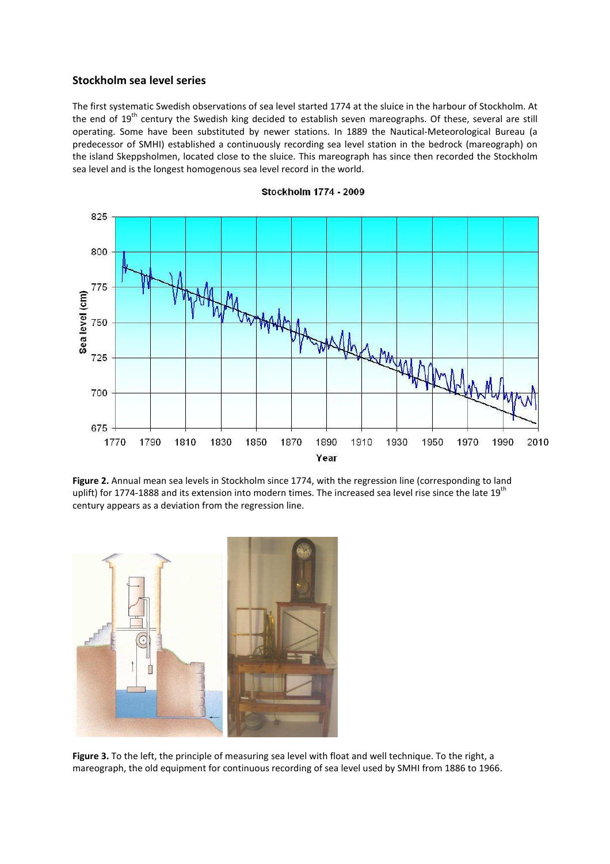#### Stockholm sea level series

The first systematic Swedish observations of sea level started 1774 at the sluice in the harbour of Stockholm. At the end of  $19<sup>th</sup>$  century the Swedish king decided to establish seven mareographs. Of these, several are still operating. Some have been substituted by newer stations. In 1889 the Nautical-Meteorological Bureau (a predecessor of SMHI) established a continuously recording sea level station in the bedrock (mareograph) on the island Skeppsholmen, located close to the sluice. This mareograph has since then recorded the Stockholm sea level and is the longest homogenous sea level record in the world.



**Stockholm 1774 - 2009** 

Figure 2. Annual mean sea levels in Stockholm since 1774, with the regression line (corresponding to land uplift) for 1774-1888 and its extension into modern times. The increased sea level rise since the late 19<sup>th</sup> century appears as a deviation from the regression line.



Figure 3. To the left, the principle of measuring sea level with float and well technique. To the right, a mareograph, the old equipment for continuous recording of sea level used by SMHI from 1886 to 1966.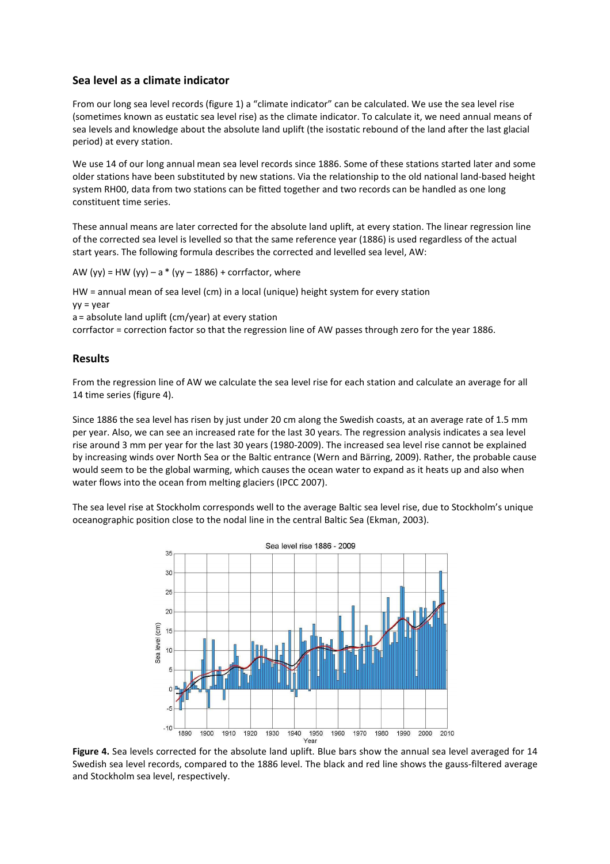# Sea level as a climate indicator

From our long sea level records (figure 1) a "climate indicator" can be calculated. We use the sea level rise (sometimes known as eustatic sea level rise) as the climate indicator. To calculate it, we need annual means of sea levels and knowledge about the absolute land uplift (the isostatic rebound of the land after the last glacial period) at every station.

We use 14 of our long annual mean sea level records since 1886. Some of these stations started later and some older stations have been substituted by new stations. Via the relationship to the old national land-based height system RH00, data from two stations can be fitted together and two records can be handled as one long constituent time series.

These annual means are later corrected for the absolute land uplift, at every station. The linear regression line of the corrected sea level is levelled so that the same reference year (1886) is used regardless of the actual start years. The following formula describes the corrected and levelled sea level, AW:

AW (yy) = HW (yy) – a  $*$  (yy – 1886) + corrfactor, where

HW = annual mean of sea level (cm) in a local (unique) height system for every station yy = year

a = absolute land uplift (cm/year) at every station

corrfactor = correction factor so that the regression line of AW passes through zero for the year 1886.

# Results

From the regression line of AW we calculate the sea level rise for each station and calculate an average for all 14 time series (figure 4).

Since 1886 the sea level has risen by just under 20 cm along the Swedish coasts, at an average rate of 1.5 mm per year. Also, we can see an increased rate for the last 30 years. The regression analysis indicates a sea level rise around 3 mm per year for the last 30 years (1980-2009). The increased sea level rise cannot be explained by increasing winds over North Sea or the Baltic entrance (Wern and Bärring, 2009). Rather, the probable cause would seem to be the global warming, which causes the ocean water to expand as it heats up and also when water flows into the ocean from melting glaciers (IPCC 2007).

The sea level rise at Stockholm corresponds well to the average Baltic sea level rise, due to Stockholm's unique oceanographic position close to the nodal line in the central Baltic Sea (Ekman, 2003).



Figure 4. Sea levels corrected for the absolute land uplift. Blue bars show the annual sea level averaged for 14 Swedish sea level records, compared to the 1886 level. The black and red line shows the gauss-filtered average and Stockholm sea level, respectively.